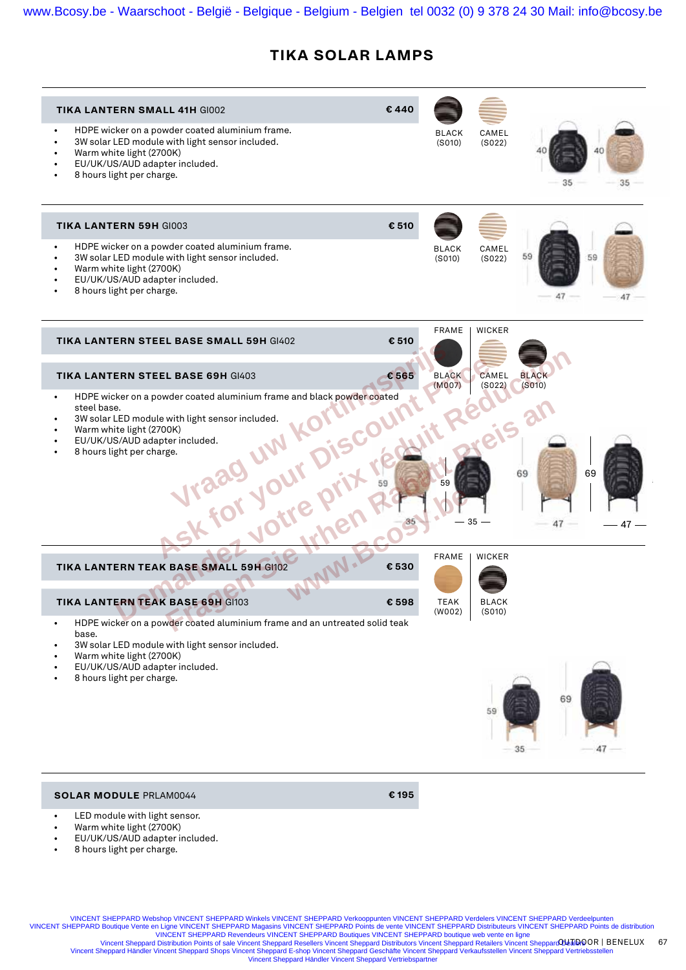# **TIKA SOLAR LAMPS**

| <b>TIKA LANTERN SMALL 41H GI002</b><br>HDPE wicker on a powder coated aluminium frame.                                                                                                                                                                                        | €440  | <b>BLACK</b>           | CAMEL                  |                        |          |  |
|-------------------------------------------------------------------------------------------------------------------------------------------------------------------------------------------------------------------------------------------------------------------------------|-------|------------------------|------------------------|------------------------|----------|--|
| 3W solar LED module with light sensor included.<br>Warm white light (2700K)<br>EU/UK/US/AUD adapter included.<br>8 hours light per charge.                                                                                                                                    |       | (S010)                 | (S022)                 | 35                     | 35       |  |
| <b>TIKA LANTERN 59H GI003</b>                                                                                                                                                                                                                                                 | € 510 |                        |                        |                        |          |  |
| HDPE wicker on a powder coated aluminium frame.<br>3W solar LED module with light sensor included.<br>Warm white light (2700K)<br>EU/UK/US/AUD adapter included.<br>8 hours light per charge.                                                                                 |       | <b>BLACK</b><br>(S010) | CAMEL<br>(S022)        | 59<br>47               | 59       |  |
| <b>TIKA LANTERN STEEL BASE SMALL 59H GI402</b>                                                                                                                                                                                                                                | € 510 | <b>FRAME</b>           | <b>WICKER</b>          |                        |          |  |
| <b>TIKA LANTERN STEEL BASE 69H GI403</b>                                                                                                                                                                                                                                      | € 565 | <b>BLACK</b><br>(M007) | CAMEL<br>(S022)        | <b>BLACK</b><br>(S010) |          |  |
| HDPE wicker on a powder coated aluminium frame and black powder coated<br>$\bullet$<br>steel base.<br>3W solar LED module with light sensor included.<br>Sk for your prix<br>Disco<br>Warm white light (2700K)<br>EU/UK/US/AUD adapter included.<br>8 hours light per charge. |       | R<br>59                | eis al<br>$35 -$       | 69<br>47               | 69<br>47 |  |
| TIKA LANTERN TEAK BASE SMALL 59H GI102                                                                                                                                                                                                                                        | € 530 | <b>FRAME</b>           | <b>WICKER</b>          |                        |          |  |
| <b>TIKA LANTERN TEAK BASE 69H GI103</b>                                                                                                                                                                                                                                       | €598  | <b>TEAK</b><br>(W002)  | <b>BLACK</b><br>(S010) |                        |          |  |
| HDPE wicker on a powder coated aluminium frame and an untreated solid teak<br>base.<br>3W solar LED module with light sensor included.<br>Warm white light (2700K)                                                                                                            |       |                        |                        |                        |          |  |
| EU/UK/US/AUD adapter included.<br>8 hours light per charge.                                                                                                                                                                                                                   |       |                        | 59                     | 69<br>35               |          |  |
| <b>SOLAR MODULE PRLAM0044</b>                                                                                                                                                                                                                                                 | €195  |                        |                        |                        |          |  |
| LED module with light sensor.<br>Warm white light (2700K)                                                                                                                                                                                                                     |       |                        |                        |                        |          |  |

- EU/UK/US/AUD adapter included.
- 8 hours light per charge.

VINCENT SHEPPARD Webshop VINCENT SHEPPARD Winkels VINCENT SHEPPARD Verkooppunten VINCENT SHEPPARD Verdelers VINCENT SHEPPARD Verdeelpunten

OUTDOOR BENELUX 67 VINCENT SHEPPARD Distributeurs VINCENT SHEPPARD Distributeurs VINCENT SHEPPARD Distributeurs VINCENT SHEPPARD Points de distribution<br>VINCENT SHEPPARD Points de vente VINCENT SHEPPARD boutique web vente en ligne<br>Vincent She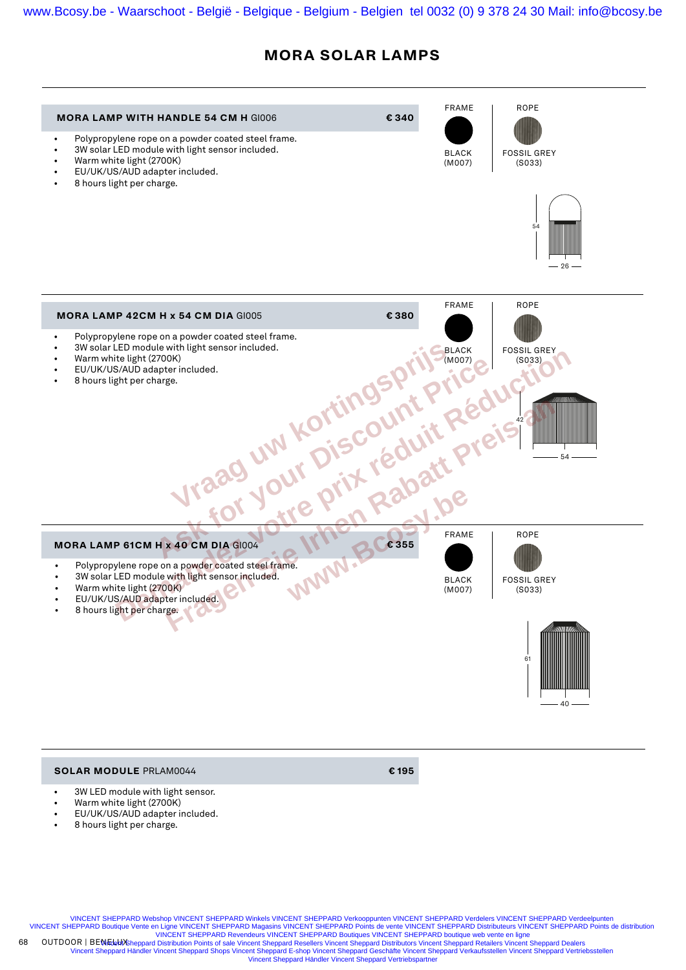## **MORA SOLAR LAMPS**



### **SOLAR MODULE** PRLAM0044 **€ 195**

- 3W LED module with light sensor.
- Warm white light (2700K)
- EU/UK/US/AUD adapter included.
- 8 hours light per charge.

VINCENT SHEPPARD Webshop VINCENT SHEPPARD Winkels VINCENT SHEPPARD Verkooppunten VINCENT SHEPPARD Verdelers VINCENT SHEPPARD Verde VINCENT SHEPPARD Boutique Vente en Ligne VINCENT SHEPPARD Magasins VINCENT SHEPPARD Points de vente VINCENT SHEPPARD Distributeurs VINCENT SHEPPARD Points de distribution<br>VINCENT SHEPPARD Revendeurs VINCENT SHEPPARD Boutiq

OUTDOOR | BEN<del>ideb/S</del>heppard Distribution Points of sale Vincent Sheppard Resellers Vincent Sheppard Distributors Vincent Sheppard Retailers Vincent Sheppard Dealers<br>Vincent Sheppard Händler Vincent Sheppard Shops Vincent Vincent Sheppard Händler Vincent Sheppard Vertriebspartner